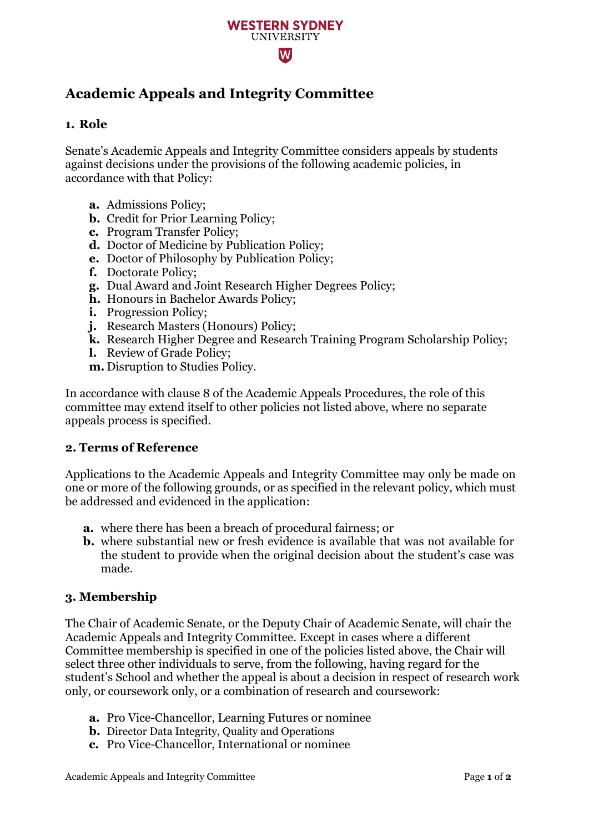

# **Academic Appeals and Integrity Committee**

### **1. Role**

Senate's Academic Appeals and Integrity Committee considers appeals by students against decisions under the provisions of the following academic policies, in accordance with that Policy:

- **a.** Admissions Policy;
- **b.** Credit for Prior Learning Policy;
- **c.** Program Transfer Policy;
- **d.** Doctor of Medicine by Publication Policy;
- **e.** Doctor of Philosophy by Publication Policy;
- **f.** Doctorate Policy;
- **g.** Dual Award and Joint Research Higher Degrees Policy;
- **h.** Honours in Bachelor Awards Policy;
- **i.** Progression Policy;
- **j.** Research Masters (Honours) Policy;
- **k.** Research Higher Degree and Research Training Program Scholarship Policy;
- **l.** Review of Grade Policy;
- **m.** Disruption to Studies Policy.

In accordance with clause 8 of the Academic Appeals Procedures, the role of this committee may extend itself to other policies not listed above, where no separate appeals process is specified.

#### **2. Terms of Reference**

Applications to the Academic Appeals and Integrity Committee may only be made on one or more of the following grounds, or as specified in the relevant policy, which must be addressed and evidenced in the application:

- **a.** where there has been a breach of procedural fairness; or
- **b.** where substantial new or fresh evidence is available that was not available for the student to provide when the original decision about the student's case was made.

#### **3. Membership**

The Chair of Academic Senate, or the Deputy Chair of Academic Senate, will chair the Academic Appeals and Integrity Committee. Except in cases where a different Committee membership is specified in one of the policies listed above, the Chair will select three other individuals to serve, from the following, having regard for the student's School and whether the appeal is about a decision in respect of research work only, or coursework only, or a combination of research and coursework:

- **a.** Pro Vice-Chancellor, Learning Futures or nominee
- **b.** Director Data Integrity, Quality and Operations
- **c.** Pro Vice-Chancellor, International or nominee